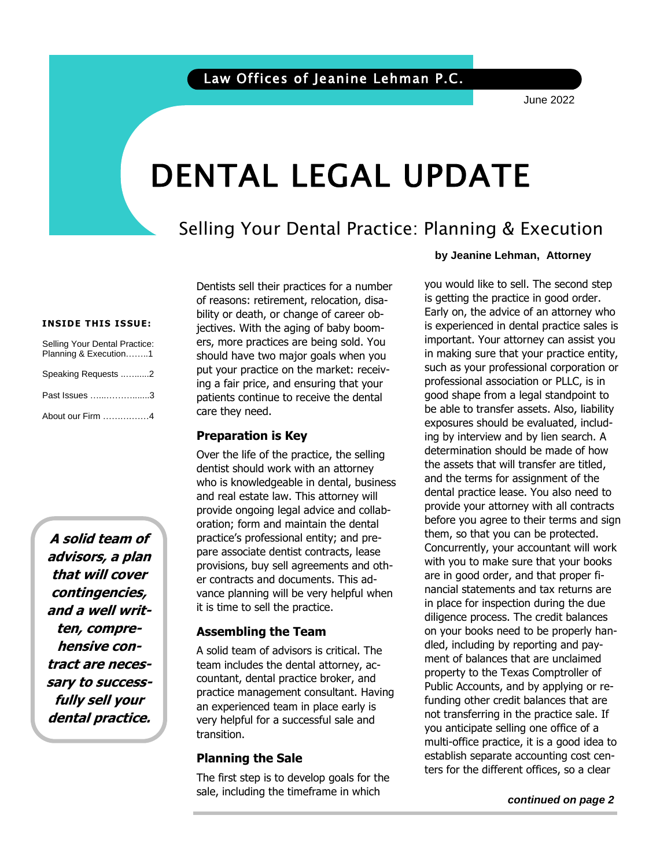June 2022

# DENTAL LEGAL UPDATE

### Selling Your Dental Practice: Planning & Execution

#### **INSIDE THIS ISSUE:**

| Selling Your Dental Practice:<br>Planning & Execution1 |  |
|--------------------------------------------------------|--|
| Speaking Requests 2                                    |  |
| Past Issues 3                                          |  |
| About our Firm 4                                       |  |

**A solid team of advisors, a plan that will cover contingencies, and a well written, comprehensive contract are necessary to successfully sell your dental practice.**

Dentists sell their practices for a number of reasons: retirement, relocation, disability or death, or change of career objectives. With the aging of baby boomers, more practices are being sold. You should have two major goals when you put your practice on the market: receiving a fair price, and ensuring that your patients continue to receive the dental care they need.

### **Preparation is Key**

Over the life of the practice, the selling dentist should work with an attorney who is knowledgeable in dental, business and real estate law. This attorney will provide ongoing legal advice and collaboration; form and maintain the dental practice's professional entity; and prepare associate dentist contracts, lease provisions, buy sell agreements and other contracts and documents. This advance planning will be very helpful when it is time to sell the practice.

### **Assembling the Team**

A solid team of advisors is critical. The team includes the dental attorney, accountant, dental practice broker, and practice management consultant. Having an experienced team in place early is very helpful for a successful sale and transition.

### **Planning the Sale**

The first step is to develop goals for the sale, including the timeframe in which

#### **by Jeanine Lehman, Attorney**

is getting the practice in good order.<br>Early on, the advice of an attorney who is experienced in dental practice sales is<br>important. Your attorney can assist you such as your professional corporation or you would like to sell. The second step is getting the practice in good order. is experienced in dental practice sales is in making sure that your practice entity, professional association or PLLC, is in good shape from a legal standpoint to be able to transfer assets. Also, liability exposures should be evaluated, including by interview and by lien search. A determination should be made of how the assets that will transfer are titled, and the terms for assignment of the dental practice lease. You also need to provide your attorney with all contracts before you agree to their terms and sign them, so that you can be protected. Concurrently, your accountant will work with you to make sure that your books are in good order, and that proper financial statements and tax returns are in place for inspection during the due diligence process. The credit balances on your books need to be properly handled, including by reporting and payment of balances that are unclaimed property to the Texas Comptroller of Public Accounts, and by applying or refunding other credit balances that are not transferring in the practice sale. If you anticipate selling one office of a multi-office practice, it is a good idea to establish separate accounting cost centers for the different offices, so a clear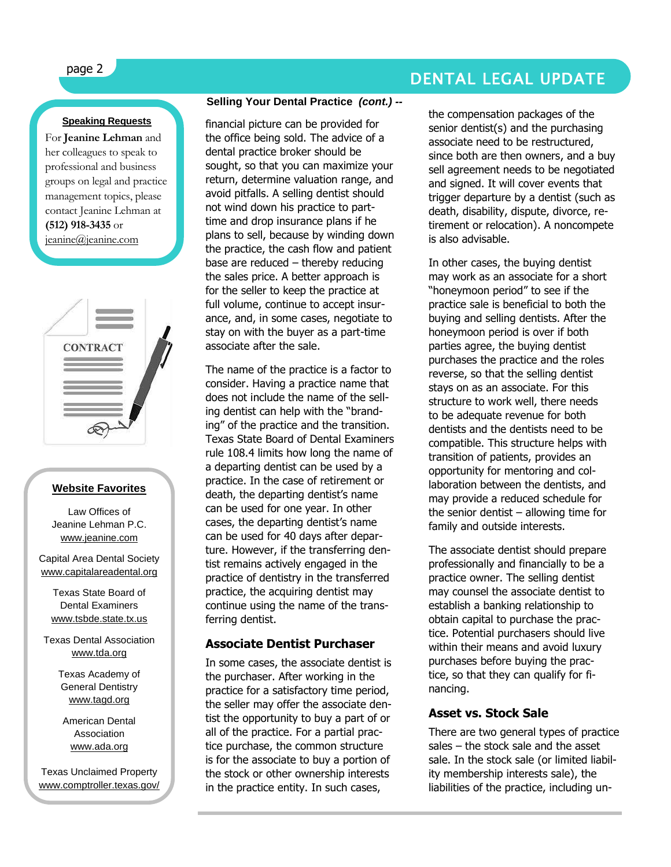### **Speaking Requests**

For **Jeanine Lehman** and her colleagues to speak to professional and business groups on legal and practice management topics, please contact Jeanine Lehman at **(512) 918-3435** or [jeanine@jeanine.com](mailto:jeanine@jeanine.com)

ì



#### **Website Favorites**

Law Offices of Jeanine Lehman P.C. [www.jeanine.com](http://www.jeanine.com/)

Capital Area Dental Society [www.capitalareadental.org](http://www.capitalareadental.org/)

Texas State Board of Dental Examiners [www.tsbde.state.tx.us](http://www.tsbde.state.tx.us/)

Texas Dental Association [www.tda.org](http://www.tda.org/)

> Texas Academy of General Dentistry [www.tagd.org](http://www.tagd.org/)

American Dental Association [www.ada.org](http://www.ada.org/)

Texas Unclaimed Property [www.comptroller.texas.gov/](http://www.comptroller.texas.gov/up/) [up/](http://www.comptroller.texas.gov/up/)

### **Selling Your Dental Practice** *(cont.) --*

financial picture can be provided for the office being sold. The advice of a dental practice broker should be sought, so that you can maximize your return, determine valuation range, and avoid pitfalls. A selling dentist should not wind down his practice to parttime and drop insurance plans if he plans to sell, because by winding down the practice, the cash flow and patient base are reduced – thereby reducing the sales price. A better approach is for the seller to keep the practice at full volume, continue to accept insurance, and, in some cases, negotiate to stay on with the buyer as a part-time associate after the sale.

The name of the practice is a factor to consider. Having a practice name that does not include the name of the selling dentist can help with the "branding" of the practice and the transition. Texas State Board of Dental Examiners rule 108.4 limits how long the name of a departing dentist can be used by a practice. In the case of retirement or death, the departing dentist's name can be used for one year. In other cases, the departing dentist's name can be used for 40 days after departure. However, if the transferring dentist remains actively engaged in the practice of dentistry in the transferred practice, the acquiring dentist may continue using the name of the transferring dentist.

### **Associate Dentist Purchaser**

In some cases, the associate dentist is the purchaser. After working in the practice for a satisfactory time period, the seller may offer the associate dentist the opportunity to buy a part of or all of the practice. For a partial practice purchase, the common structure is for the associate to buy a portion of the stock or other ownership interests in the practice entity. In such cases,

## page 2 DENTAL LEGAL UPDATE

the compensation packages of the senior dentist(s) and the purchasing associate need to be restructured, since both are then owners, and a buy sell agreement needs to be negotiated and signed. It will cover events that trigger departure by a dentist (such as death, disability, dispute, divorce, retirement or relocation). A noncompete is also advisable.

In other cases, the buying dentist may work as an associate for a short "honeymoon period" to see if the practice sale is beneficial to both the buying and selling dentists. After the honeymoon period is over if both parties agree, the buying dentist purchases the practice and the roles reverse, so that the selling dentist stays on as an associate. For this structure to work well, there needs to be adequate revenue for both dentists and the dentists need to be compatible. This structure helps with transition of patients, provides an opportunity for mentoring and collaboration between the dentists, and may provide a reduced schedule for the senior dentist  $-$  allowing time for family and outside interests.

The associate dentist should prepare professionally and financially to be a practice owner. The selling dentist may counsel the associate dentist to establish a banking relationship to obtain capital to purchase the practice. Potential purchasers should live within their means and avoid luxury purchases before buying the practice, so that they can qualify for financing.

### **Asset vs. Stock Sale**

There are two general types of practice sales – the stock sale and the asset sale. In the stock sale (or limited liability membership interests sale), the liabilities of the practice, including un-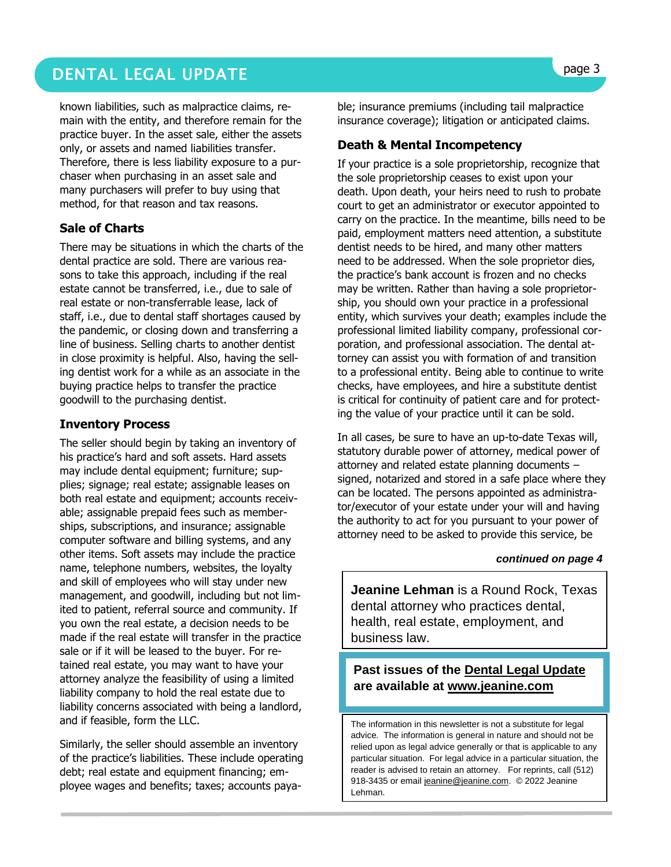### **DENTAL LEGAL UPDATE Superior and the second second service of the second second service of the service of the service of the service of the service of the service of the service of the service of the service of the serv**

known liabilities, such as malpractice claims, remain with the entity, and therefore remain for the practice buyer. In the asset sale, either the assets only, or assets and named liabilities transfer. Therefore, there is less liability exposure to a purchaser when purchasing in an asset sale and many purchasers will prefer to buy using that method, for that reason and tax reasons.

### **Sale of Charts**

There may be situations in which the charts of the dental practice are sold. There are various reasons to take this approach, including if the real estate cannot be transferred, i.e., due to sale of real estate or non-transferrable lease, lack of staff, i.e., due to dental staff shortages caused by the pandemic, or closing down and transferring a line of business. Selling charts to another dentist in close proximity is helpful. Also, having the selling dentist work for a while as an associate in the buying practice helps to transfer the practice goodwill to the purchasing dentist.

### **Inventory Process**

The seller should begin by taking an inventory of his practice's hard and soft assets. Hard assets may include dental equipment; furniture; supplies; signage; real estate; assignable leases on both real estate and equipment; accounts receivable; assignable prepaid fees such as memberships, subscriptions, and insurance; assignable computer software and billing systems, and any other items. Soft assets may include the practice name, telephone numbers, websites, the loyalty and skill of employees who will stay under new management, and goodwill, including but not limited to patient, referral source and community. If you own the real estate, a decision needs to be made if the real estate will transfer in the practice sale or if it will be leased to the buyer. For retained real estate, you may want to have your attorney analyze the feasibility of using a limited liability company to hold the real estate due to liability concerns associated with being a landlord, and if feasible, form the LLC.

Similarly, the seller should assemble an inventory of the practice's liabilities. These include operating debt; real estate and equipment financing; employee wages and benefits; taxes; accounts payable; insurance premiums (including tail malpractice insurance coverage); litigation or anticipated claims.

### **Death & Mental Incompetency**

If your practice is a sole proprietorship, recognize that the sole proprietorship ceases to exist upon your death. Upon death, your heirs need to rush to probate court to get an administrator or executor appointed to carry on the practice. In the meantime, bills need to be paid, employment matters need attention, a substitute dentist needs to be hired, and many other matters need to be addressed. When the sole proprietor dies, the practice's bank account is frozen and no checks may be written. Rather than having a sole proprietorship, you should own your practice in a professional entity, which survives your death; examples include the professional limited liability company, professional corporation, and professional association. The dental attorney can assist you with formation of and transition to a professional entity. Being able to continue to write checks, have employees, and hire a substitute dentist is critical for continuity of patient care and for protecting the value of your practice until it can be sold.

In all cases, be sure to have an up-to-date Texas will, statutory durable power of attorney, medical power of attorney and related estate planning documents – signed, notarized and stored in a safe place where they can be located. The persons appointed as administrator/executor of your estate under your will and having the authority to act for you pursuant to your power of attorney need to be asked to provide this service, be

#### *continued on page 4*

**Jeanine Lehman** is a Round Rock, Texas dental attorney who practices dental, health, real estate, employment, and business law.

### **Past issues of the Dental Legal Update are available at [www.jeanine.com](http://www.jeanine.com/)**

The information in this newsletter is not a substitute for legal advice. The information is general in nature and should not be relied upon as legal advice generally or that is applicable to any particular situation. For legal advice in a particular situation, the reader is advised to retain an attorney. For reprints, call (512) 918-3435 or email [jeanine@jeanine.com.](mailto:jeanine@jeanine.com) © 2022 Jeanine Lehman.